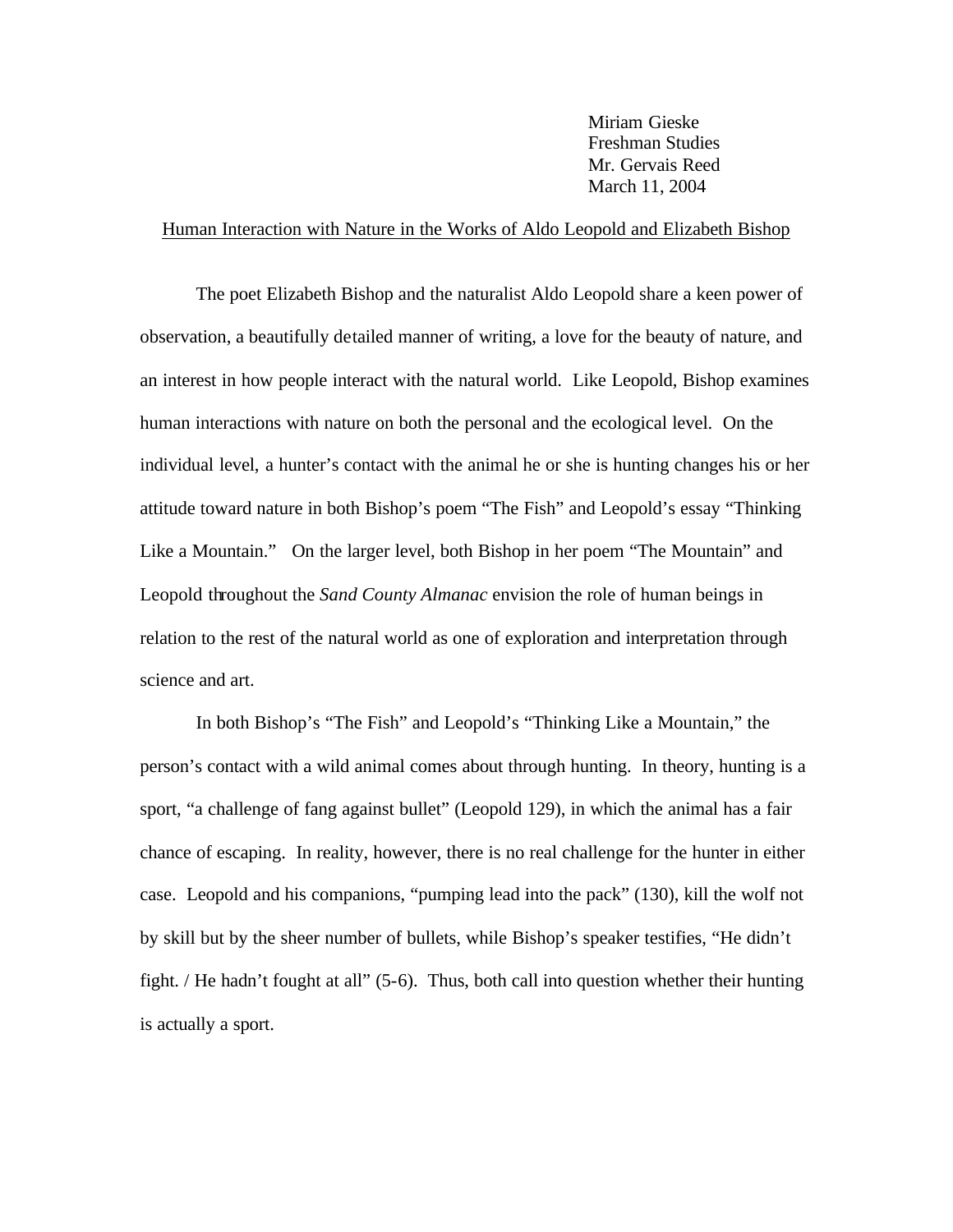Miriam Gieske Freshman Studies Mr. Gervais Reed March 11, 2004

## Human Interaction with Nature in the Works of Aldo Leopold and Elizabeth Bishop

The poet Elizabeth Bishop and the naturalist Aldo Leopold share a keen power of observation, a beautifully detailed manner of writing, a love for the beauty of nature, and an interest in how people interact with the natural world. Like Leopold, Bishop examines human interactions with nature on both the personal and the ecological level. On the individual level, a hunter's contact with the animal he or she is hunting changes his or her attitude toward nature in both Bishop's poem "The Fish" and Leopold's essay "Thinking Like a Mountain." On the larger level, both Bishop in her poem "The Mountain" and Leopold throughout the *Sand County Almanac* envision the role of human beings in relation to the rest of the natural world as one of exploration and interpretation through science and art.

In both Bishop's "The Fish" and Leopold's "Thinking Like a Mountain," the person's contact with a wild animal comes about through hunting. In theory, hunting is a sport, "a challenge of fang against bullet" (Leopold 129), in which the animal has a fair chance of escaping. In reality, however, there is no real challenge for the hunter in either case. Leopold and his companions, "pumping lead into the pack" (130), kill the wolf not by skill but by the sheer number of bullets, while Bishop's speaker testifies, "He didn't fight. / He hadn't fought at all" (5-6). Thus, both call into question whether their hunting is actually a sport.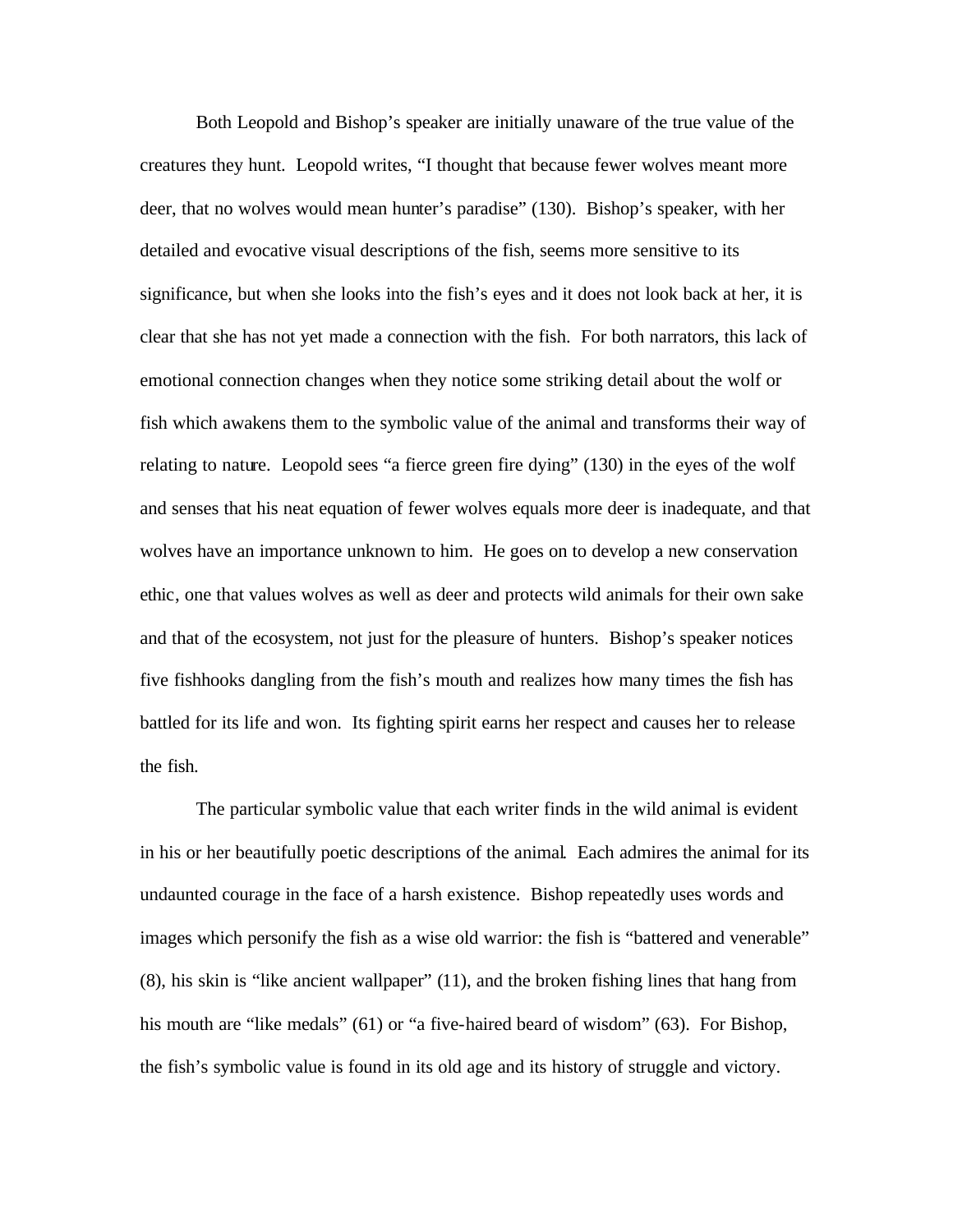Both Leopold and Bishop's speaker are initially unaware of the true value of the creatures they hunt. Leopold writes, "I thought that because fewer wolves meant more deer, that no wolves would mean hunter's paradise" (130). Bishop's speaker, with her detailed and evocative visual descriptions of the fish, seems more sensitive to its significance, but when she looks into the fish's eyes and it does not look back at her, it is clear that she has not yet made a connection with the fish. For both narrators, this lack of emotional connection changes when they notice some striking detail about the wolf or fish which awakens them to the symbolic value of the animal and transforms their way of relating to nature. Leopold sees "a fierce green fire dying" (130) in the eyes of the wolf and senses that his neat equation of fewer wolves equals more deer is inadequate, and that wolves have an importance unknown to him. He goes on to develop a new conservation ethic, one that values wolves as well as deer and protects wild animals for their own sake and that of the ecosystem, not just for the pleasure of hunters. Bishop's speaker notices five fishhooks dangling from the fish's mouth and realizes how many times the fish has battled for its life and won. Its fighting spirit earns her respect and causes her to release the fish.

The particular symbolic value that each writer finds in the wild animal is evident in his or her beautifully poetic descriptions of the animal. Each admires the animal for its undaunted courage in the face of a harsh existence. Bishop repeatedly uses words and images which personify the fish as a wise old warrior: the fish is "battered and venerable" (8), his skin is "like ancient wallpaper" (11), and the broken fishing lines that hang from his mouth are "like medals" (61) or "a five-haired beard of wisdom" (63). For Bishop, the fish's symbolic value is found in its old age and its history of struggle and victory.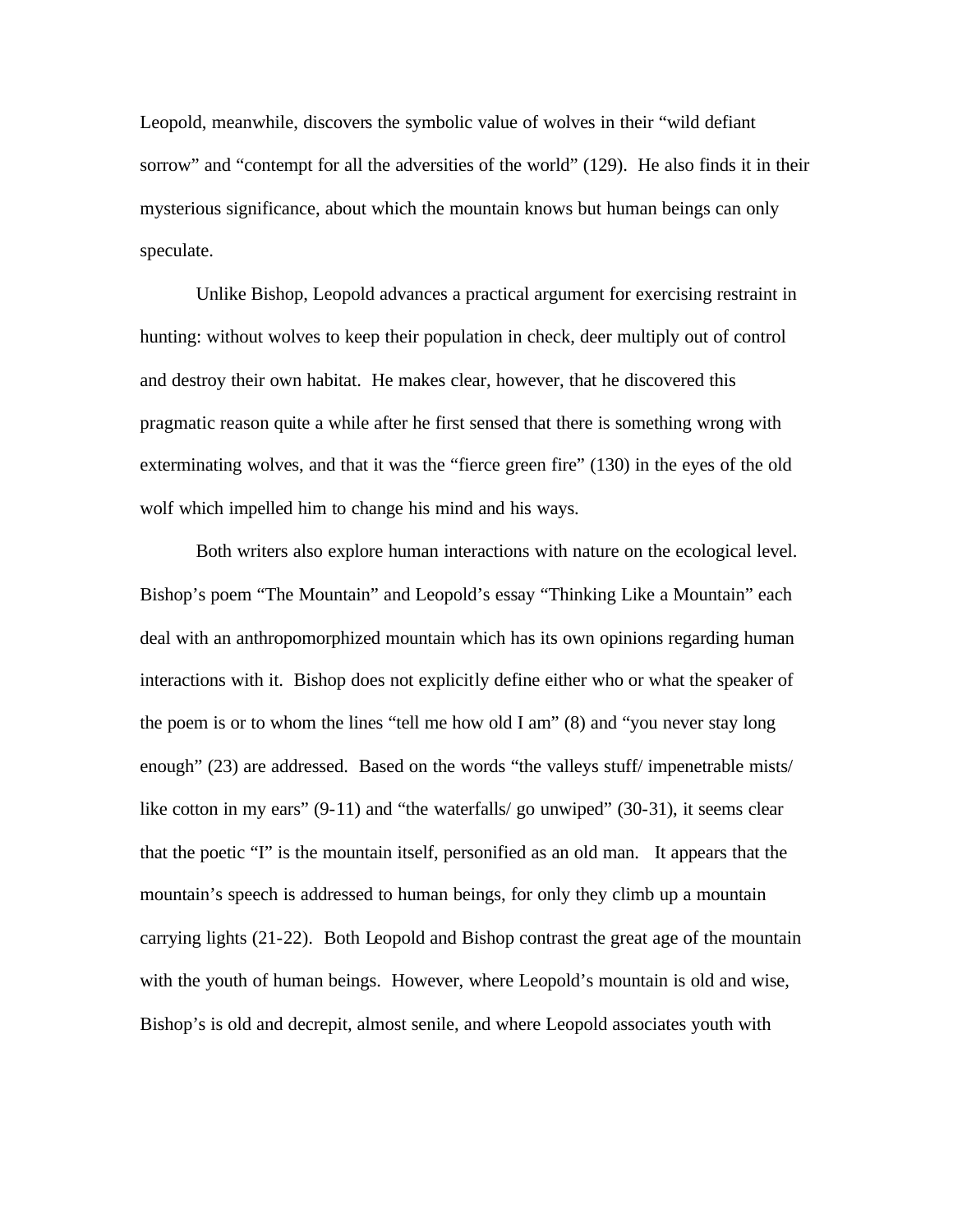Leopold, meanwhile, discovers the symbolic value of wolves in their "wild defiant sorrow" and "contempt for all the adversities of the world" (129). He also finds it in their mysterious significance, about which the mountain knows but human beings can only speculate.

Unlike Bishop, Leopold advances a practical argument for exercising restraint in hunting: without wolves to keep their population in check, deer multiply out of control and destroy their own habitat. He makes clear, however, that he discovered this pragmatic reason quite a while after he first sensed that there is something wrong with exterminating wolves, and that it was the "fierce green fire" (130) in the eyes of the old wolf which impelled him to change his mind and his ways.

Both writers also explore human interactions with nature on the ecological level. Bishop's poem "The Mountain" and Leopold's essay "Thinking Like a Mountain" each deal with an anthropomorphized mountain which has its own opinions regarding human interactions with it. Bishop does not explicitly define either who or what the speaker of the poem is or to whom the lines "tell me how old I am" (8) and "you never stay long enough" (23) are addressed. Based on the words "the valleys stuff/ impenetrable mists/ like cotton in my ears" (9-11) and "the waterfalls/ go unwiped" (30-31), it seems clear that the poetic "I" is the mountain itself, personified as an old man. It appears that the mountain's speech is addressed to human beings, for only they climb up a mountain carrying lights (21-22). Both Leopold and Bishop contrast the great age of the mountain with the youth of human beings. However, where Leopold's mountain is old and wise, Bishop's is old and decrepit, almost senile, and where Leopold associates youth with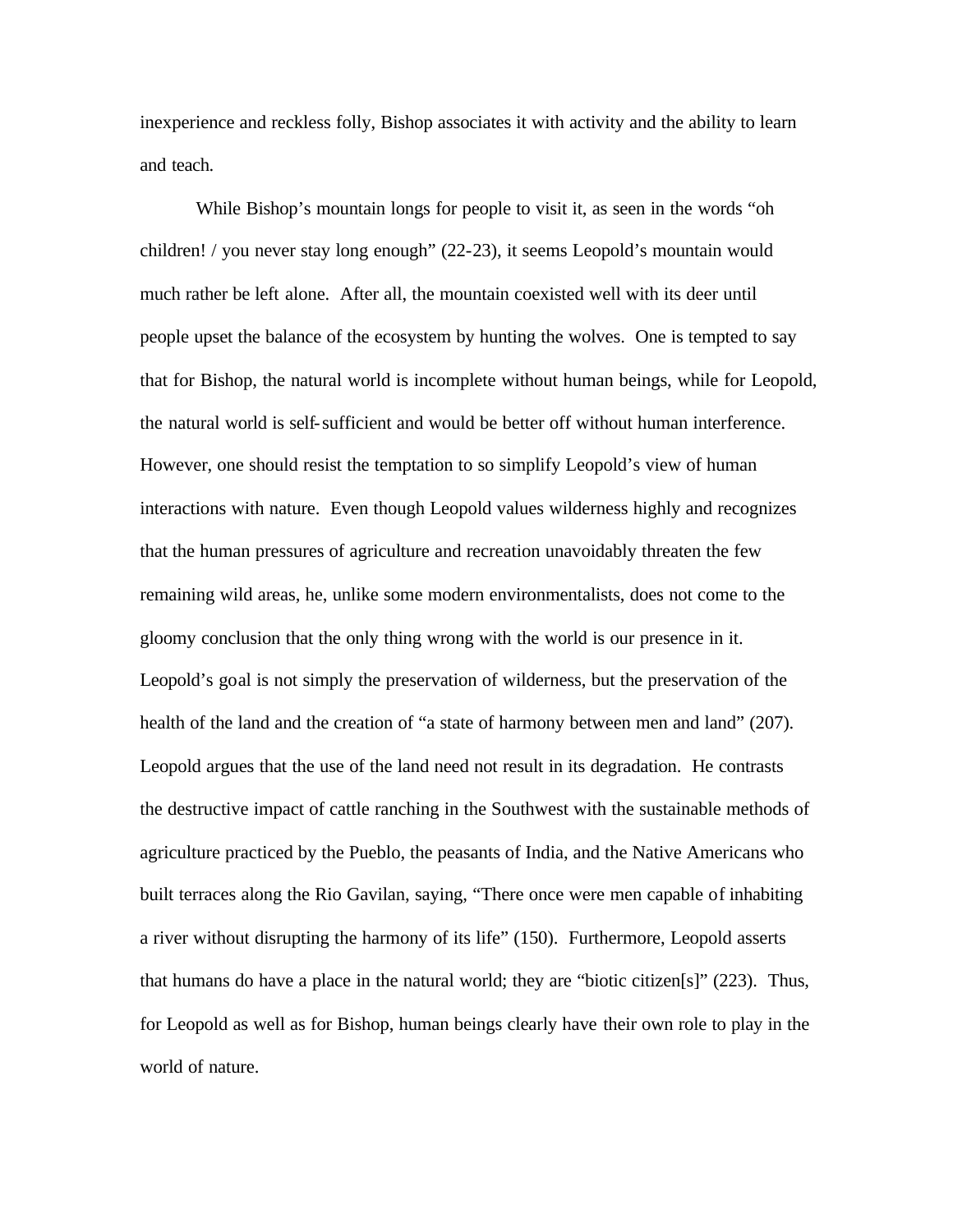inexperience and reckless folly, Bishop associates it with activity and the ability to learn and teach.

While Bishop's mountain longs for people to visit it, as seen in the words "oh children! / you never stay long enough" (22-23), it seems Leopold's mountain would much rather be left alone. After all, the mountain coexisted well with its deer until people upset the balance of the ecosystem by hunting the wolves. One is tempted to say that for Bishop, the natural world is incomplete without human beings, while for Leopold, the natural world is self-sufficient and would be better off without human interference. However, one should resist the temptation to so simplify Leopold's view of human interactions with nature. Even though Leopold values wilderness highly and recognizes that the human pressures of agriculture and recreation unavoidably threaten the few remaining wild areas, he, unlike some modern environmentalists, does not come to the gloomy conclusion that the only thing wrong with the world is our presence in it. Leopold's goal is not simply the preservation of wilderness, but the preservation of the health of the land and the creation of "a state of harmony between men and land" (207). Leopold argues that the use of the land need not result in its degradation. He contrasts the destructive impact of cattle ranching in the Southwest with the sustainable methods of agriculture practiced by the Pueblo, the peasants of India, and the Native Americans who built terraces along the Rio Gavilan, saying, "There once were men capable of inhabiting a river without disrupting the harmony of its life" (150). Furthermore, Leopold asserts that humans do have a place in the natural world; they are "biotic citizen[s]" (223). Thus, for Leopold as well as for Bishop, human beings clearly have their own role to play in the world of nature.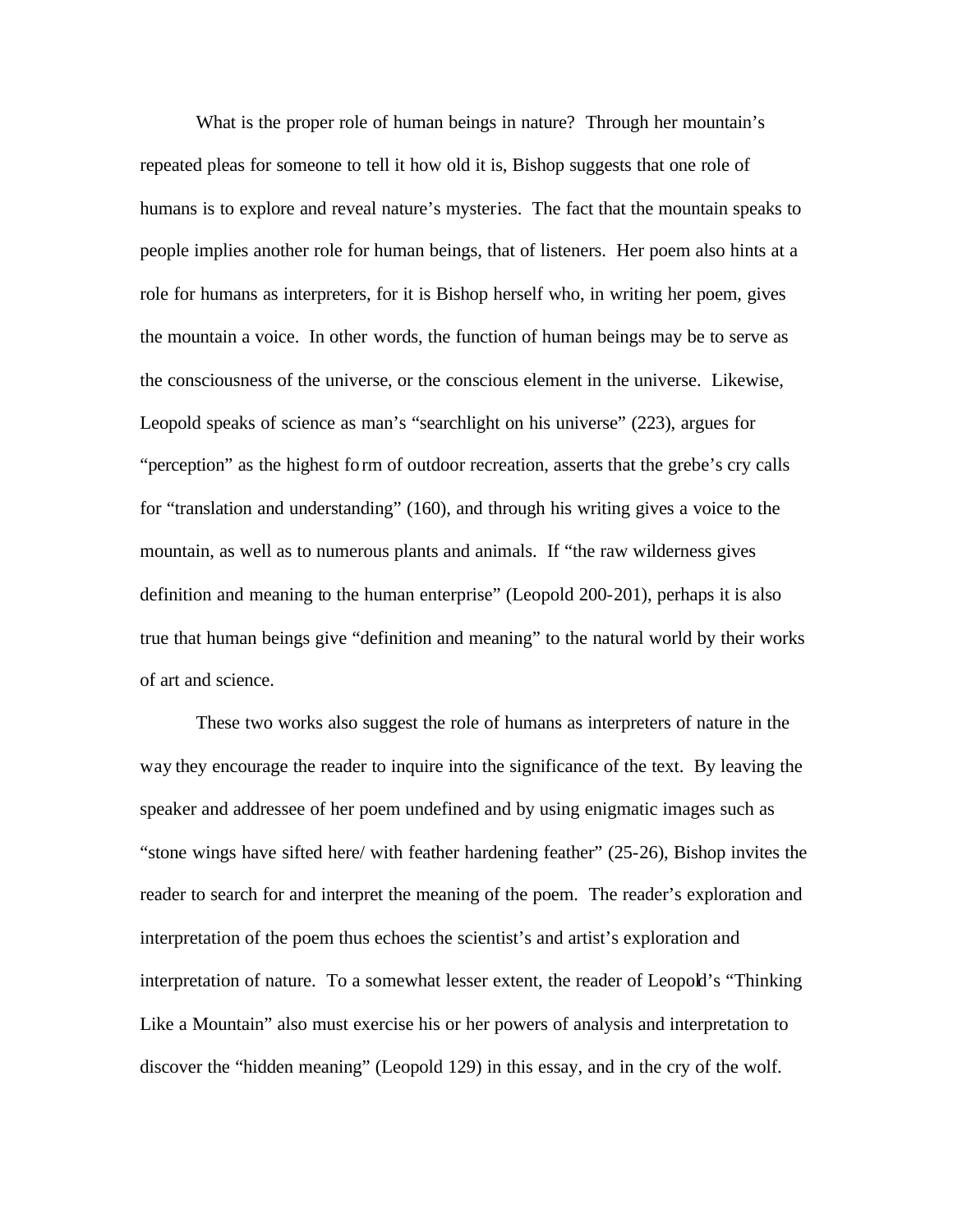What is the proper role of human beings in nature? Through her mountain's repeated pleas for someone to tell it how old it is, Bishop suggests that one role of humans is to explore and reveal nature's mysteries. The fact that the mountain speaks to people implies another role for human beings, that of listeners. Her poem also hints at a role for humans as interpreters, for it is Bishop herself who, in writing her poem, gives the mountain a voice. In other words, the function of human beings may be to serve as the consciousness of the universe, or the conscious element in the universe. Likewise, Leopold speaks of science as man's "searchlight on his universe" (223), argues for "perception" as the highest form of outdoor recreation, asserts that the grebe's cry calls for "translation and understanding" (160), and through his writing gives a voice to the mountain, as well as to numerous plants and animals. If "the raw wilderness gives definition and meaning to the human enterprise" (Leopold 200-201), perhaps it is also true that human beings give "definition and meaning" to the natural world by their works of art and science.

These two works also suggest the role of humans as interpreters of nature in the way they encourage the reader to inquire into the significance of the text. By leaving the speaker and addressee of her poem undefined and by using enigmatic images such as "stone wings have sifted here/ with feather hardening feather" (25-26), Bishop invites the reader to search for and interpret the meaning of the poem. The reader's exploration and interpretation of the poem thus echoes the scientist's and artist's exploration and interpretation of nature. To a somewhat lesser extent, the reader of Leopold's "Thinking" Like a Mountain" also must exercise his or her powers of analysis and interpretation to discover the "hidden meaning" (Leopold 129) in this essay, and in the cry of the wolf.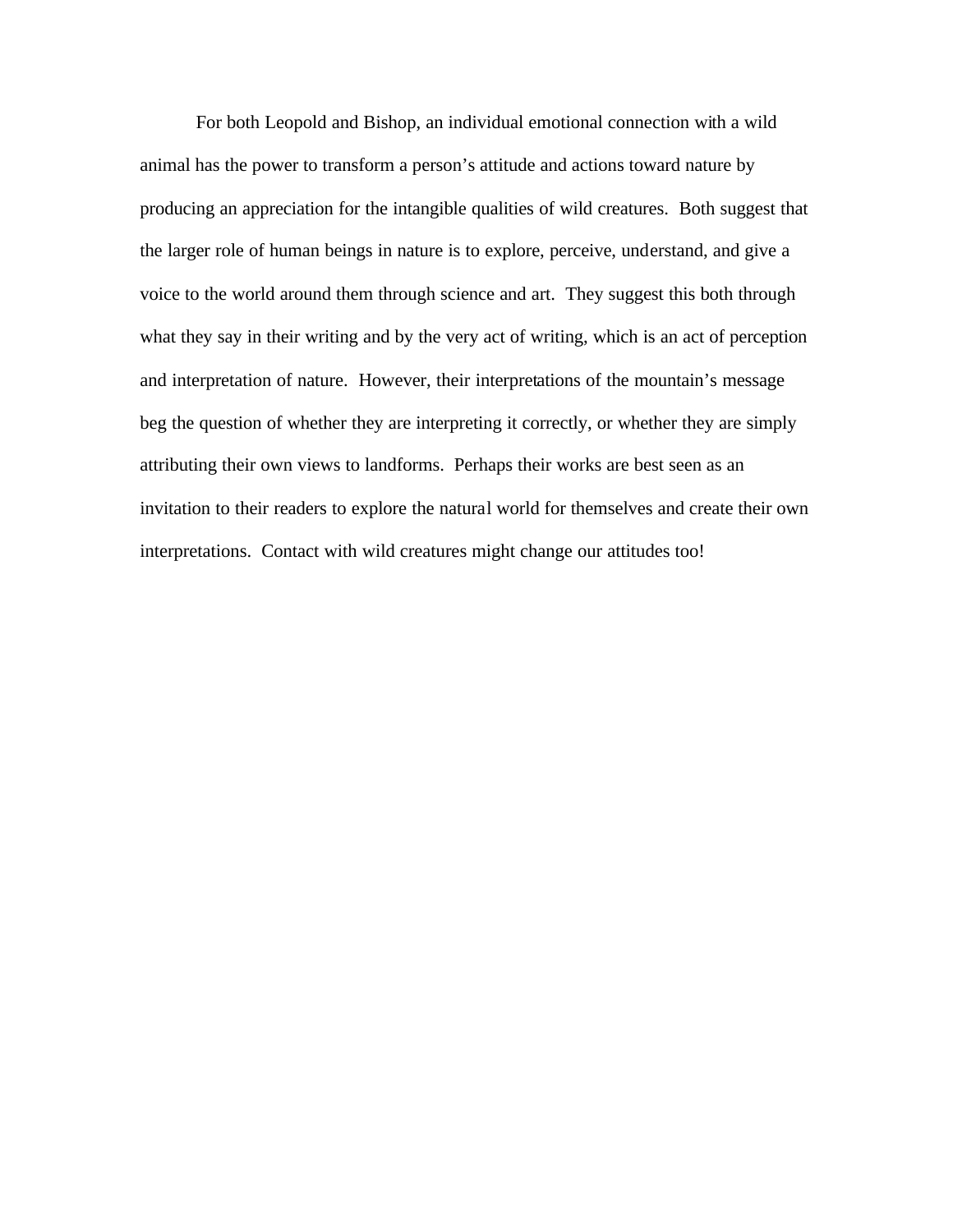For both Leopold and Bishop, an individual emotional connection with a wild animal has the power to transform a person's attitude and actions toward nature by producing an appreciation for the intangible qualities of wild creatures. Both suggest that the larger role of human beings in nature is to explore, perceive, understand, and give a voice to the world around them through science and art. They suggest this both through what they say in their writing and by the very act of writing, which is an act of perception and interpretation of nature. However, their interpretations of the mountain's message beg the question of whether they are interpreting it correctly, or whether they are simply attributing their own views to landforms. Perhaps their works are best seen as an invitation to their readers to explore the natural world for themselves and create their own interpretations. Contact with wild creatures might change our attitudes too!